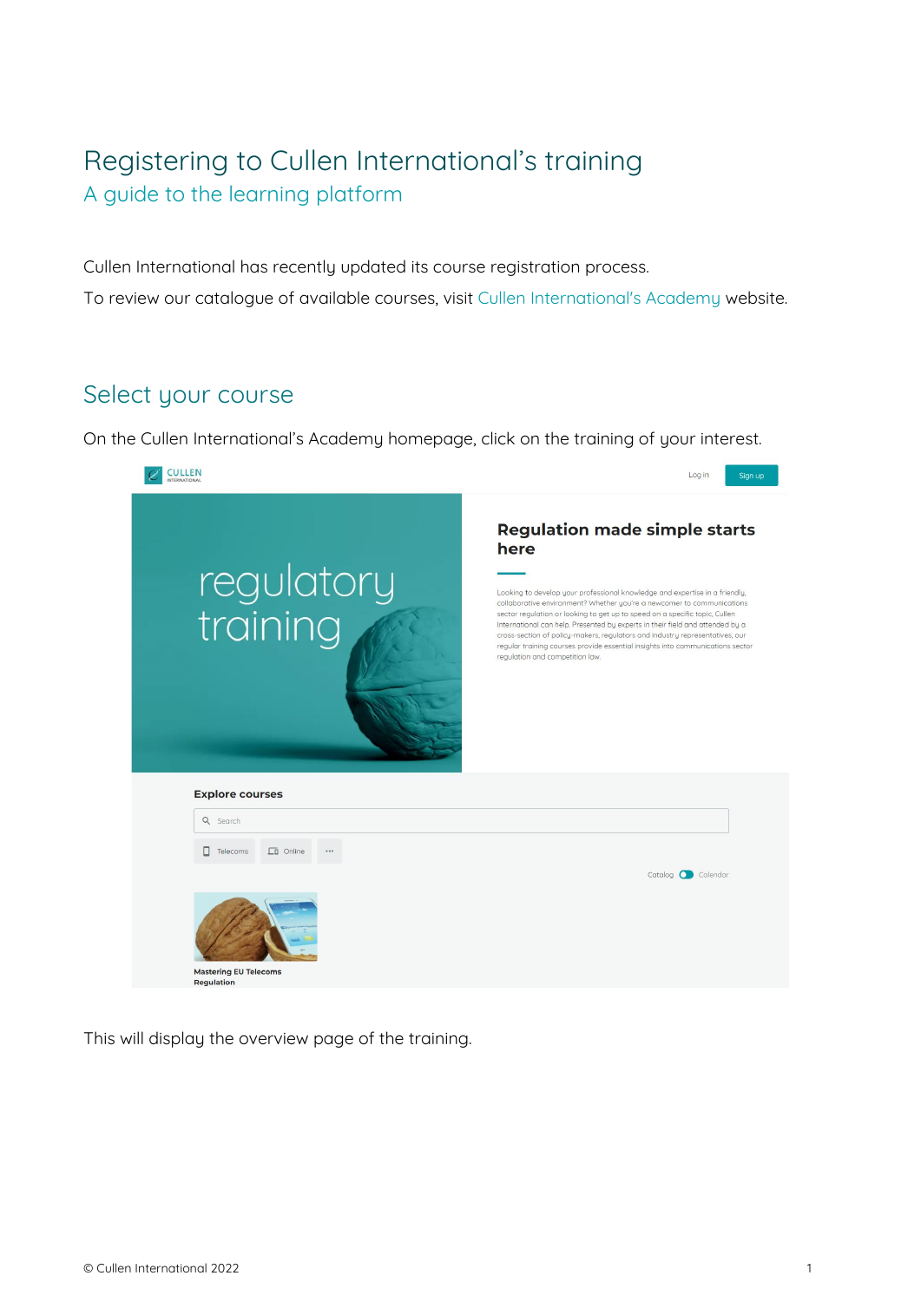## Registering to Cullen International's training A guide to the learning platform

Cullen International has recently updated its course registration process. To review our catalogue of available courses, visit [Cullen International's Academy](https://academy.cullen-international.com/) website.

## Select your course

On the Cullen International's Academy homepage, click on the training of your interest.



This will display the overview page of the training.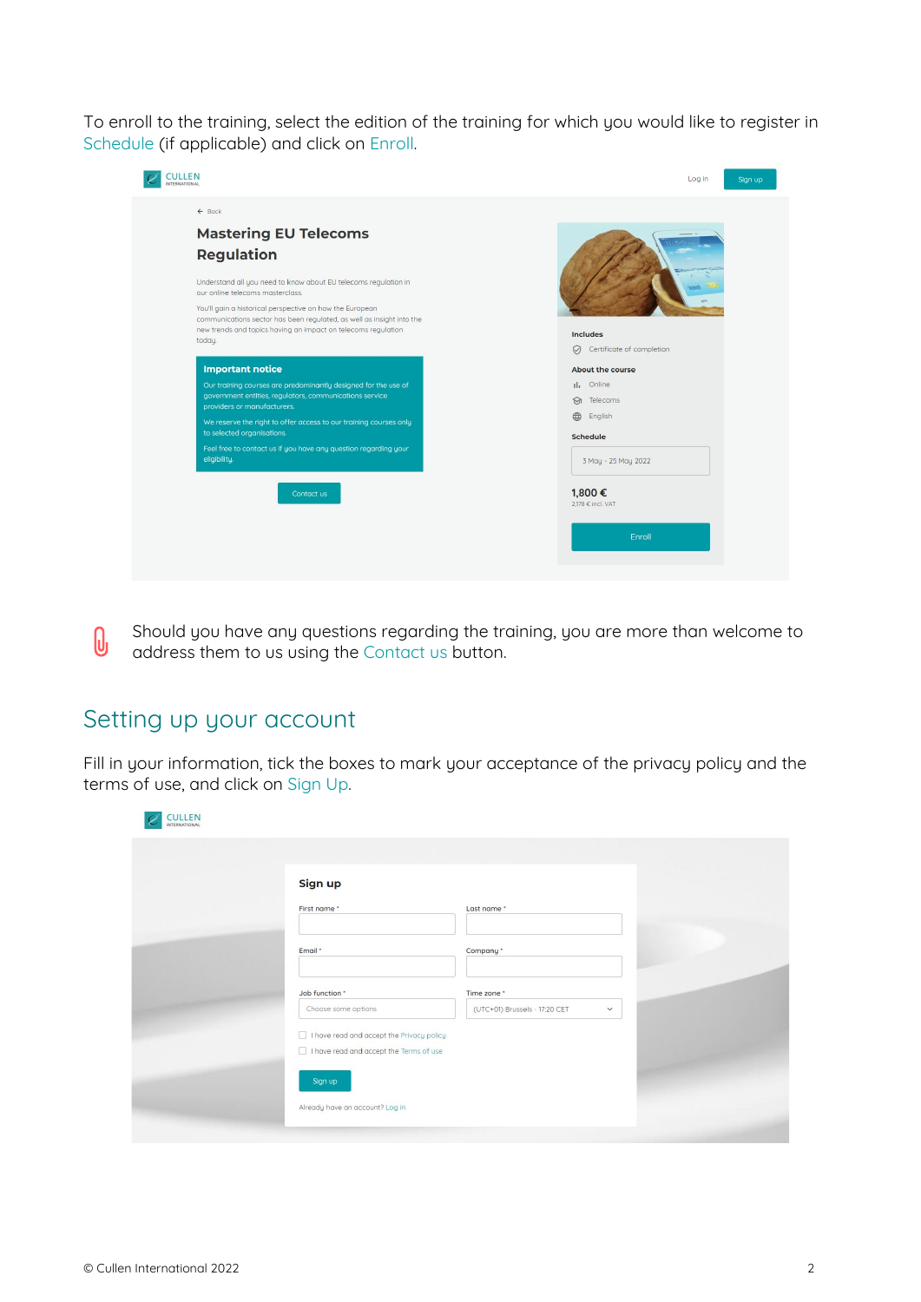To enroll to the training, select the edition of the training for which you would like to register in Schedule (if applicable) and click on Enroll.

| <b>Includes</b>                      |
|--------------------------------------|
| Certificate of completion<br>$\odot$ |
| About the course                     |
| Il, Online                           |
| Telecoms<br>$\odot$                  |
| English<br>⊕                         |
| <b>Schedule</b>                      |
| 3 May - 25 May 2022                  |
| 1,800€<br>2.178 € incl. VAT          |
|                                      |
|                                      |

Should you have any questions regarding the training, you are more than welcome to  $\theta$ address them to us using the Contact us button.

## Setting up your account

Fill in your information, tick the boxes to mark your acceptance of the privacy policy and the terms of use, and click on Sign Up.

| Sign up                                                                                            |                               |              |  |
|----------------------------------------------------------------------------------------------------|-------------------------------|--------------|--|
| First name*                                                                                        | Last name *                   |              |  |
| Email *                                                                                            | Company *                     |              |  |
| Job function *                                                                                     | Time zone *                   |              |  |
| Choose some options                                                                                | (UTC+01) Brussels - 17:20 CET | $\checkmark$ |  |
| $\Box$ I have read and accept the Privacy policy<br>$\Box$ I have read and accept the Terms of use |                               |              |  |
| Sign up                                                                                            |                               |              |  |
| Already have an account? Log in                                                                    |                               |              |  |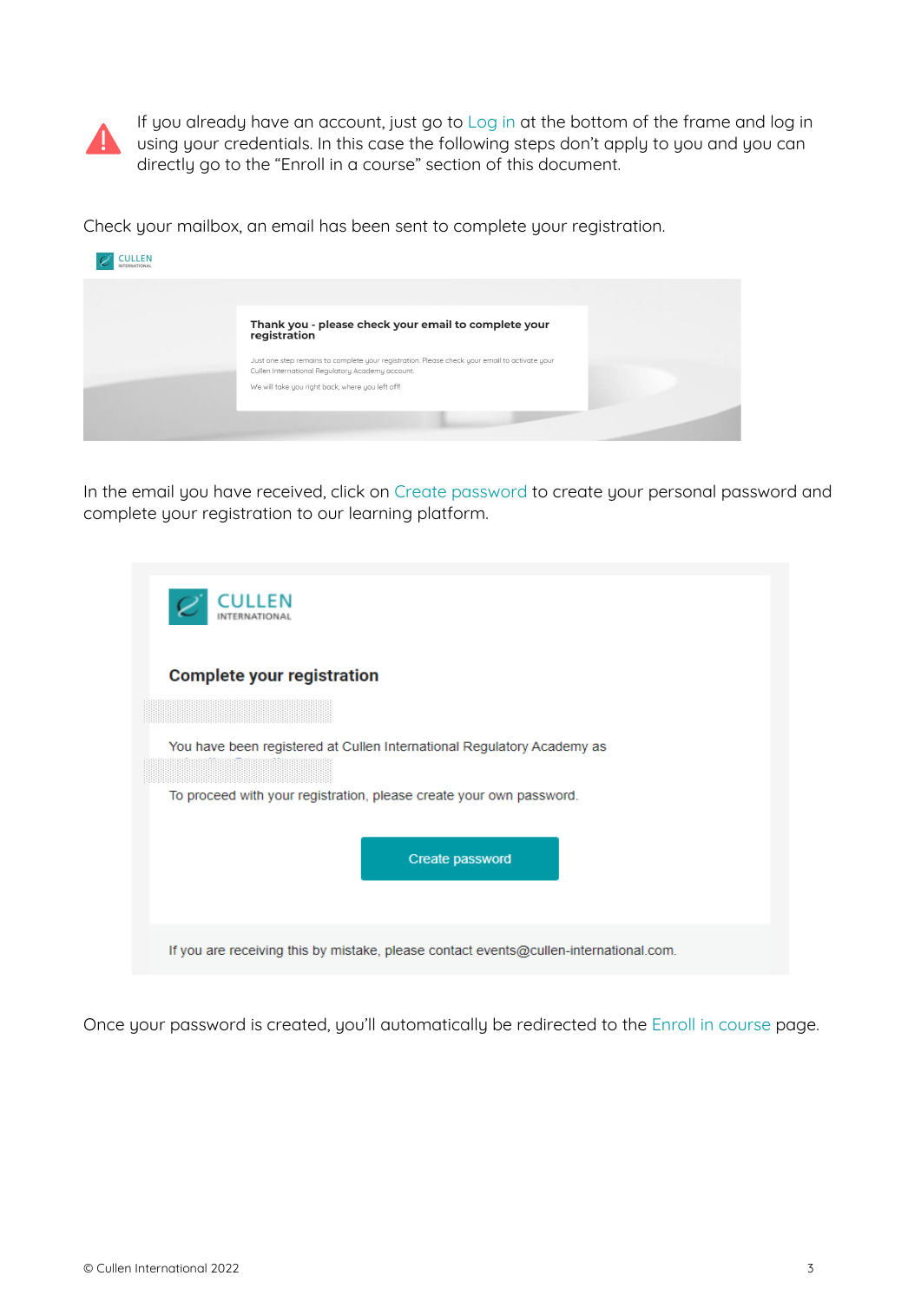

If you already have an account, just go to Log in at the bottom of the frame and log in using your credentials. In this case the following steps don't apply to you and you can directly go to the "Enroll in a course" section of this document.

Check your mailbox, an email has been sent to complete your registration.

| Thank you - please check your email to complete your<br>registration                                                                                                                                  |  |
|-------------------------------------------------------------------------------------------------------------------------------------------------------------------------------------------------------|--|
| Just one step remains to complete your registration. Please check your email to activate your<br>Cullen International Regulatory Academy account.<br>We will take you right back, where you left off! |  |
|                                                                                                                                                                                                       |  |

In the email you have received, click on Create password to create your personal password and complete your registration to our learning platform.

| I II I FN                                                                                                                                     |
|-----------------------------------------------------------------------------------------------------------------------------------------------|
| <b>Complete your registration</b>                                                                                                             |
|                                                                                                                                               |
| You have been registered at Cullen International Regulatory Academy as<br>To proceed with your registration, please create your own password. |
| Create password                                                                                                                               |
| If you are receiving this by mistake, please contact events@cullen-international.com.                                                         |

Once your password is created, you'll automatically be redirected to the Enroll in course page.